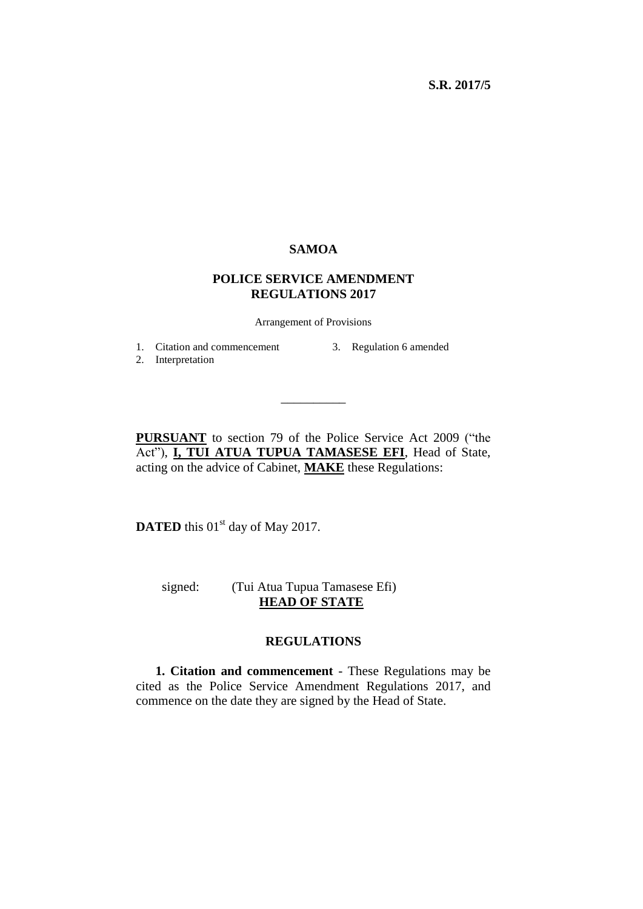## **SAMOA**

## **POLICE SERVICE AMENDMENT REGULATIONS 2017**

Arrangement of Provisions

1. Citation and commencement

3. Regulation 6 amended

2. Interpretation

**PURSUANT** to section 79 of the Police Service Act 2009 ("the Act"), **I, TUI ATUA TUPUA TAMASESE EFI**, Head of State, acting on the advice of Cabinet, **MAKE** these Regulations:

\_\_\_\_\_\_\_\_\_\_

**DATED** this 01<sup>st</sup> day of May 2017.

 signed: (Tui Atua Tupua Tamasese Efi)  **HEAD OF STATE**

## **REGULATIONS**

**1. Citation and commencement** - These Regulations may be cited as the Police Service Amendment Regulations 2017, and commence on the date they are signed by the Head of State.